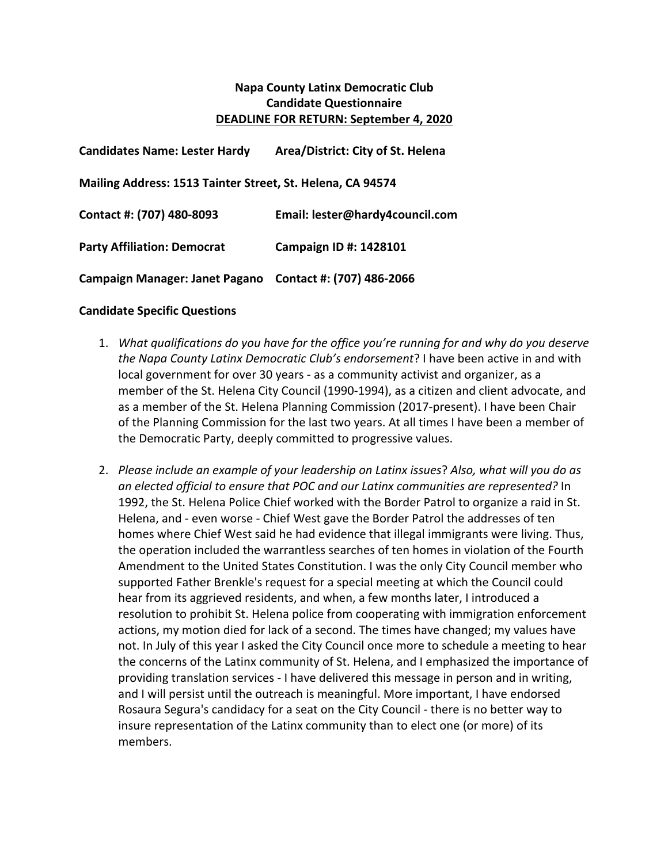## **Napa County Latinx Democratic Club Candidate Questionnaire DEADLINE FOR RETURN: September 4, 2020**

| <b>Candidates Name: Lester Hardy</b>                       | Area/District: City of St. Helena |
|------------------------------------------------------------|-----------------------------------|
| Mailing Address: 1513 Tainter Street, St. Helena, CA 94574 |                                   |
| Contact #: (707) 480-8093                                  | Email: lester@hardy4council.com   |
| <b>Party Affiliation: Democrat</b>                         | Campaign ID #: 1428101            |
| Campaign Manager: Janet Pagano                             | Contact #: (707) 486-2066         |

## **Candidate Specific Questions**

- 1. *What qualifications do you have for the office you're running for and why do you deserve the Napa County Latinx Democratic Club's endorsement*? I have been active in and with local government for over 30 years - as a community activist and organizer, as a member of the St. Helena City Council (1990-1994), as a citizen and client advocate, and as a member of the St. Helena Planning Commission (2017-present). I have been Chair of the Planning Commission for the last two years. At all times I have been a member of the Democratic Party, deeply committed to progressive values.
- 2. Please include an example of your leadership on Latinx issues? Also, what will you do as an elected official to ensure that POC and our Latinx communities are represented? In 1992, the St. Helena Police Chief worked with the Border Patrol to organize a raid in St. Helena, and - even worse - Chief West gave the Border Patrol the addresses of ten homes where Chief West said he had evidence that illegal immigrants were living. Thus, the operation included the warrantless searches of ten homes in violation of the Fourth Amendment to the United States Constitution. I was the only City Council member who supported Father Brenkle's request for a special meeting at which the Council could hear from its aggrieved residents, and when, a few months later, I introduced a resolution to prohibit St. Helena police from cooperating with immigration enforcement actions, my motion died for lack of a second. The times have changed; my values have not. In July of this year I asked the City Council once more to schedule a meeting to hear the concerns of the Latinx community of St. Helena, and I emphasized the importance of providing translation services - I have delivered this message in person and in writing, and I will persist until the outreach is meaningful. More important, I have endorsed Rosaura Segura's candidacy for a seat on the City Council - there is no better way to insure representation of the Latinx community than to elect one (or more) of its members.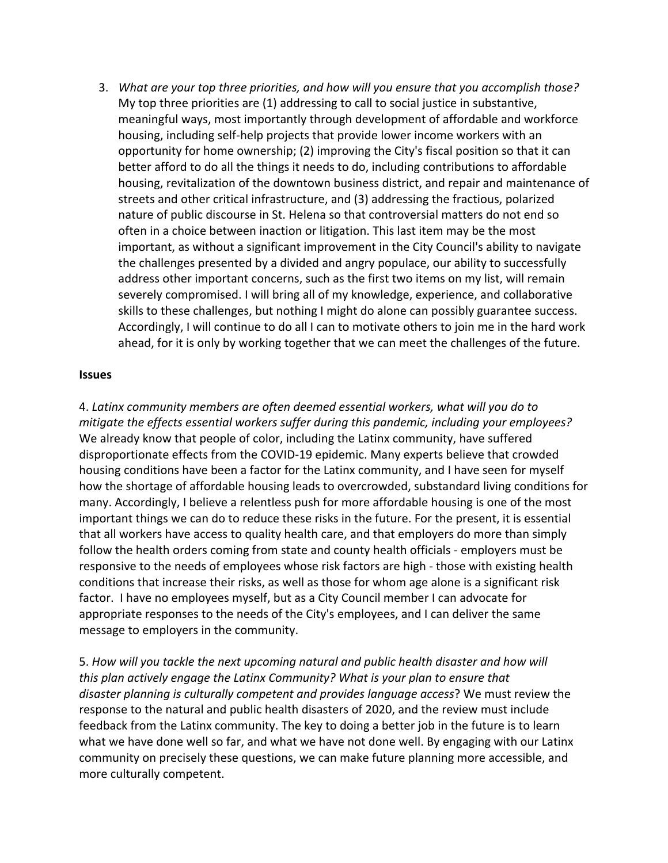3. *What are your top three priorities, and how will you ensure that you accomplish those?* My top three priorities are  $(1)$  addressing to call to social justice in substantive, meaningful ways, most importantly through development of affordable and workforce housing, including self-help projects that provide lower income workers with an opportunity for home ownership;  $(2)$  improving the City's fiscal position so that it can better afford to do all the things it needs to do, including contributions to affordable housing, revitalization of the downtown business district, and repair and maintenance of streets and other critical infrastructure, and (3) addressing the fractious, polarized nature of public discourse in St. Helena so that controversial matters do not end so often in a choice between inaction or litigation. This last item may be the most important, as without a significant improvement in the City Council's ability to navigate the challenges presented by a divided and angry populace, our ability to successfully address other important concerns, such as the first two items on my list, will remain severely compromised. I will bring all of my knowledge, experience, and collaborative skills to these challenges, but nothing I might do alone can possibly guarantee success. Accordingly, I will continue to do all I can to motivate others to join me in the hard work ahead, for it is only by working together that we can meet the challenges of the future.

## **Issues**

4. Latinx community members are often deemed essential workers, what will you do to *mitigate the effects essential workers suffer during this pandemic, including your employees?* We already know that people of color, including the Latinx community, have suffered disproportionate effects from the COVID-19 epidemic. Many experts believe that crowded housing conditions have been a factor for the Latinx community, and I have seen for myself how the shortage of affordable housing leads to overcrowded, substandard living conditions for many. Accordingly, I believe a relentless push for more affordable housing is one of the most important things we can do to reduce these risks in the future. For the present, it is essential that all workers have access to quality health care, and that employers do more than simply follow the health orders coming from state and county health officials - employers must be responsive to the needs of employees whose risk factors are high - those with existing health conditions that increase their risks, as well as those for whom age alone is a significant risk factor. I have no employees myself, but as a City Council member I can advocate for appropriate responses to the needs of the City's employees, and I can deliver the same message to employers in the community.

5. How will you tackle the next upcoming natural and public health disaster and how will *this* plan actively engage the Latinx Community? What is your plan to ensure that *disaster planning is culturally competent and provides language access?* We must review the response to the natural and public health disasters of 2020, and the review must include feedback from the Latinx community. The key to doing a better job in the future is to learn what we have done well so far, and what we have not done well. By engaging with our Latinx community on precisely these questions, we can make future planning more accessible, and more culturally competent.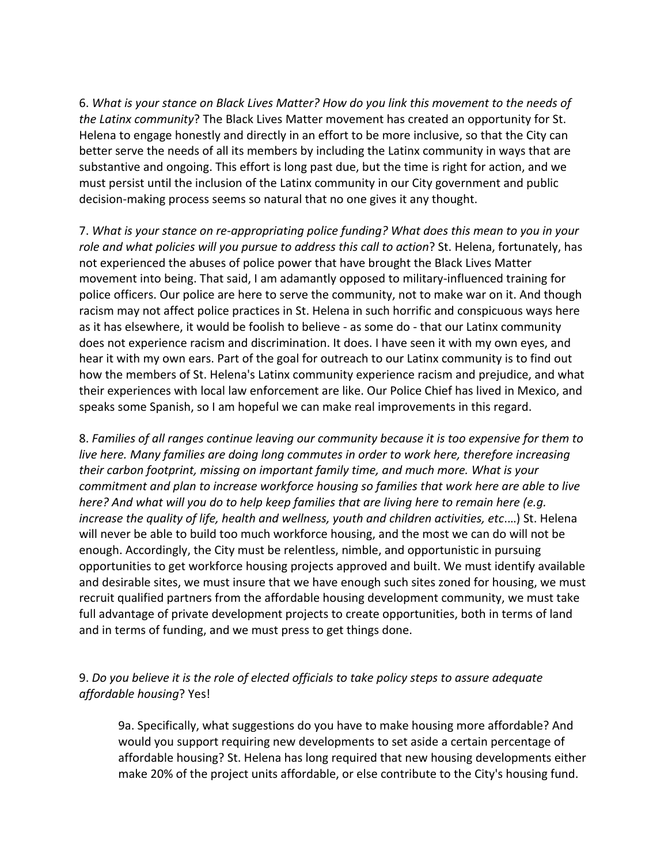6. What is your stance on Black Lives Matter? How do you link this movement to the needs of *the Latinx community*? The Black Lives Matter movement has created an opportunity for St. Helena to engage honestly and directly in an effort to be more inclusive, so that the City can better serve the needs of all its members by including the Latinx community in ways that are substantive and ongoing. This effort is long past due, but the time is right for action, and we must persist until the inclusion of the Latinx community in our City government and public decision-making process seems so natural that no one gives it any thought.

7. What is your stance on re-appropriating police funding? What does this mean to you in your role and what policies will you pursue to address this call to action? St. Helena, fortunately, has not experienced the abuses of police power that have brought the Black Lives Matter movement into being. That said, I am adamantly opposed to military-influenced training for police officers. Our police are here to serve the community, not to make war on it. And though racism may not affect police practices in St. Helena in such horrific and conspicuous ways here as it has elsewhere, it would be foolish to believe - as some do - that our Latinx community does not experience racism and discrimination. It does. I have seen it with my own eyes, and hear it with my own ears. Part of the goal for outreach to our Latinx community is to find out how the members of St. Helena's Latinx community experience racism and prejudice, and what their experiences with local law enforcement are like. Our Police Chief has lived in Mexico, and speaks some Spanish, so I am hopeful we can make real improvements in this regard.

8. Families of all ranges continue leaving our community because it is too expensive for them to *live here.* Many families are doing long commutes in order to work here, therefore increasing *their carbon footprint, missing on important family time, and much more. What is your commitment and plan to increase workforce housing so families that work here are able to live here?* And what will you do to help keep families that are living here to remain here (e.g. *increase the quality of life, health and wellness, youth and children activities, etc....*) St. Helena will never be able to build too much workforce housing, and the most we can do will not be enough. Accordingly, the City must be relentless, nimble, and opportunistic in pursuing opportunities to get workforce housing projects approved and built. We must identify available and desirable sites, we must insure that we have enough such sites zoned for housing, we must recruit qualified partners from the affordable housing development community, we must take full advantage of private development projects to create opportunities, both in terms of land and in terms of funding, and we must press to get things done.

## 9. Do you believe it is the role of elected officials to take policy steps to assure adequate *affordable housing*? Yes!

9a. Specifically, what suggestions do you have to make housing more affordable? And would you support requiring new developments to set aside a certain percentage of affordable housing? St. Helena has long required that new housing developments either make 20% of the project units affordable, or else contribute to the City's housing fund.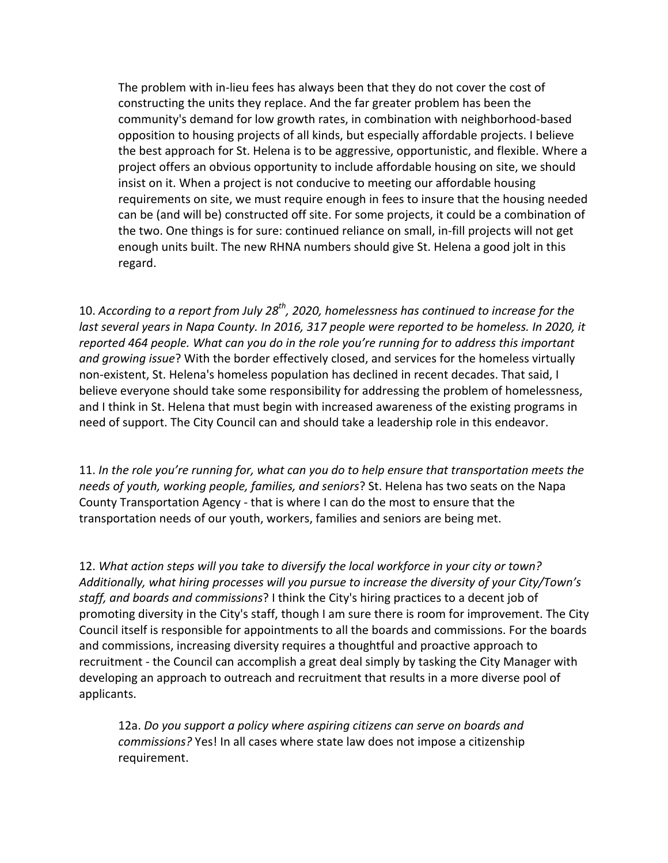The problem with in-lieu fees has always been that they do not cover the cost of constructing the units they replace. And the far greater problem has been the community's demand for low growth rates, in combination with neighborhood-based opposition to housing projects of all kinds, but especially affordable projects. I believe the best approach for St. Helena is to be aggressive, opportunistic, and flexible. Where a project offers an obvious opportunity to include affordable housing on site, we should insist on it. When a project is not conducive to meeting our affordable housing requirements on site, we must require enough in fees to insure that the housing needed can be (and will be) constructed off site. For some projects, it could be a combination of the two. One things is for sure: continued reliance on small, in-fill projects will not get enough units built. The new RHNA numbers should give St. Helena a good jolt in this regard.

10. According to a report from July 28<sup>th</sup>, 2020, homelessness has continued to increase for the *last several years in Napa County. In 2016, 317 people were reported to be homeless. In 2020, it reported* 464 people. What can you do in the role you're running for to address this important and growing issue? With the border effectively closed, and services for the homeless virtually non-existent, St. Helena's homeless population has declined in recent decades. That said, I believe everyone should take some responsibility for addressing the problem of homelessness, and I think in St. Helena that must begin with increased awareness of the existing programs in need of support. The City Council can and should take a leadership role in this endeavor.

11. In the role you're running for, what can you do to help ensure that transportation meets the *needs of youth, working people, families, and seniors*? St. Helena has two seats on the Napa County Transportation Agency - that is where I can do the most to ensure that the transportation needs of our youth, workers, families and seniors are being met.

12. What action steps will you take to diversify the local workforce in your city or town? Additionally, what hiring processes will you pursue to increase the diversity of your City/Town's staff, and boards and commissions? I think the City's hiring practices to a decent job of promoting diversity in the City's staff, though I am sure there is room for improvement. The City Council itself is responsible for appointments to all the boards and commissions. For the boards and commissions, increasing diversity requires a thoughtful and proactive approach to recruitment - the Council can accomplish a great deal simply by tasking the City Manager with developing an approach to outreach and recruitment that results in a more diverse pool of applicants.

12a. Do you support a policy where aspiring citizens can serve on boards and *commissions?* Yes! In all cases where state law does not impose a citizenship requirement.